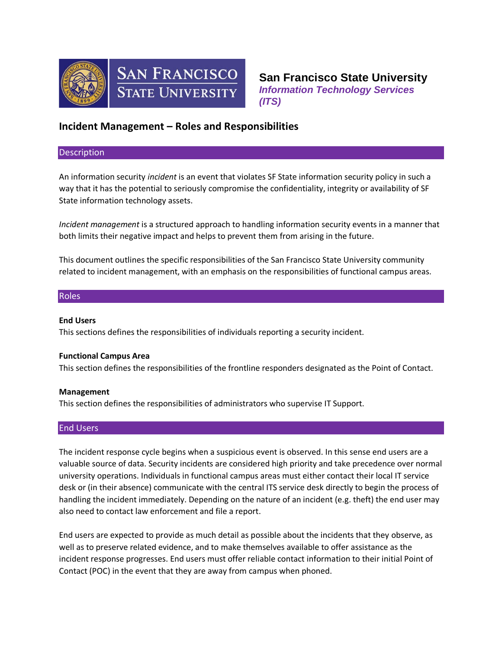



**San Francisco State University** *Information Technology Services (ITS)*

# **Incident Management – Roles and Responsibilities**

#### **Description**

An information security *incident* is an event that violates SF State information security policy in such a way that it has the potential to seriously compromise the confidentiality, integrity or availability of SF State information technology assets.

*Incident management* is a structured approach to handling information security events in a manner that both limits their negative impact and helps to prevent them from arising in the future.

This document outlines the specific responsibilities of the San Francisco State University community related to incident management, with an emphasis on the responsibilities of functional campus areas.

# Roles

#### **End Users**

This sections defines the responsibilities of individuals reporting a security incident.

# **Functional Campus Area**

This section defines the responsibilities of the frontline responders designated as the Point of Contact.

# **Management**

This section defines the responsibilities of administrators who supervise IT Support.

# End Users

The incident response cycle begins when a suspicious event is observed. In this sense end users are a valuable source of data. Security incidents are considered high priority and take precedence over normal university operations. Individuals in functional campus areas must either contact their local IT service desk or (in their absence) communicate with the central ITS service desk directly to begin the process of handling the incident immediately. Depending on the nature of an incident (e.g. theft) the end user may also need to contact law enforcement and file a report.

End users are expected to provide as much detail as possible about the incidents that they observe, as well as to preserve related evidence, and to make themselves available to offer assistance as the incident response progresses. End users must offer reliable contact information to their initial Point of Contact (POC) in the event that they are away from campus when phoned.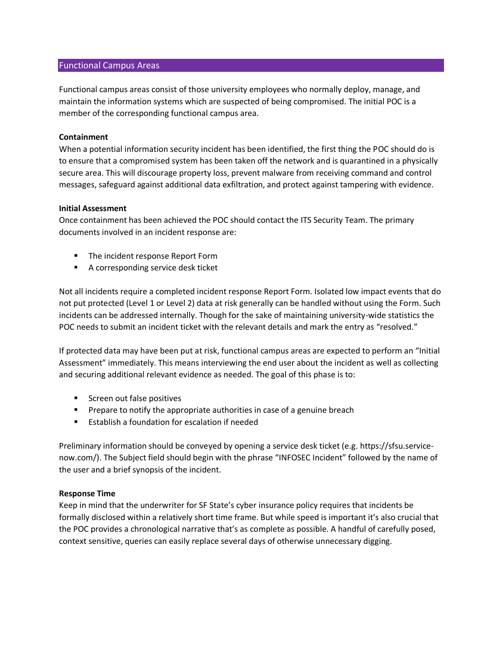# Functional Campus Areas

Functional campus areas consist of those university employees who normally deploy, manage, and maintain the information systems which are suspected of being compromised. The initial POC is a member of the corresponding functional campus area.

#### **Containment**

When a potential information security incident has been identified, the first thing the POC should do is to ensure that a compromised system has been taken off the network and is quarantined in a physically secure area. This will discourage property loss, prevent malware from receiving command and control messages, safeguard against additional data exfiltration, and protect against tampering with evidence.

#### **Initial Assessment**

Once containment has been achieved the POC should contact the ITS Security Team. The primary documents involved in an incident response are:

- **The incident response Report Form**
- A corresponding service desk ticket

Not all incidents require a completed incident response Report Form. Isolated low impact events that do not put protected (Level 1 or Level 2) data at risk generally can be handled without using the Form. Such incidents can be addressed internally. Though for the sake of maintaining university-wide statistics the POC needs to submit an incident ticket with the relevant details and mark the entry as "resolved."

If protected data may have been put at risk, functional campus areas are expected to perform an "Initial Assessment" immediately. This means interviewing the end user about the incident as well as collecting and securing additional relevant evidence as needed. The goal of this phase is to:

- Screen out false positives
- **Prepare to notify the appropriate authorities in case of a genuine breach**
- **Establish a foundation for escalation if needed**

Preliminary information should be conveyed by opening a service desk ticket (e.g. https://sfsu.servicenow.com/). The Subject field should begin with the phrase "INFOSEC Incident" followed by the name of the user and a brief synopsis of the incident.

# **Response Time**

Keep in mind that the underwriter for SF State's cyber insurance policy requires that incidents be formally disclosed within a relatively short time frame. But while speed is important it's also crucial that the POC provides a chronological narrative that's as complete as possible. A handful of carefully posed, context sensitive, queries can easily replace several days of otherwise unnecessary digging.